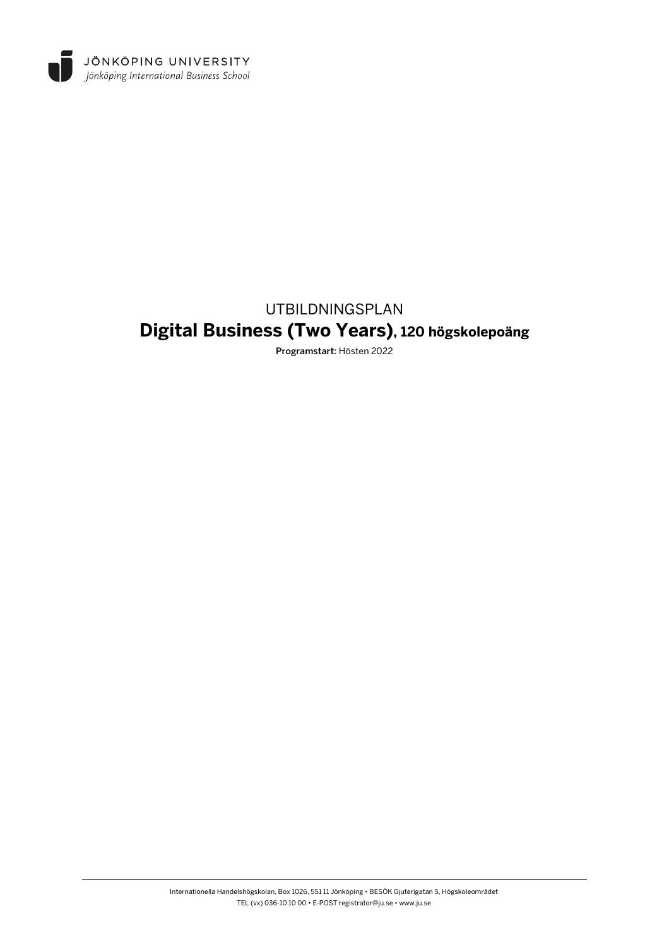

# UTBILDNINGSPLAN **Digital Business (Two Years), 120 högskolepoäng**

Programstart: Hösten 2022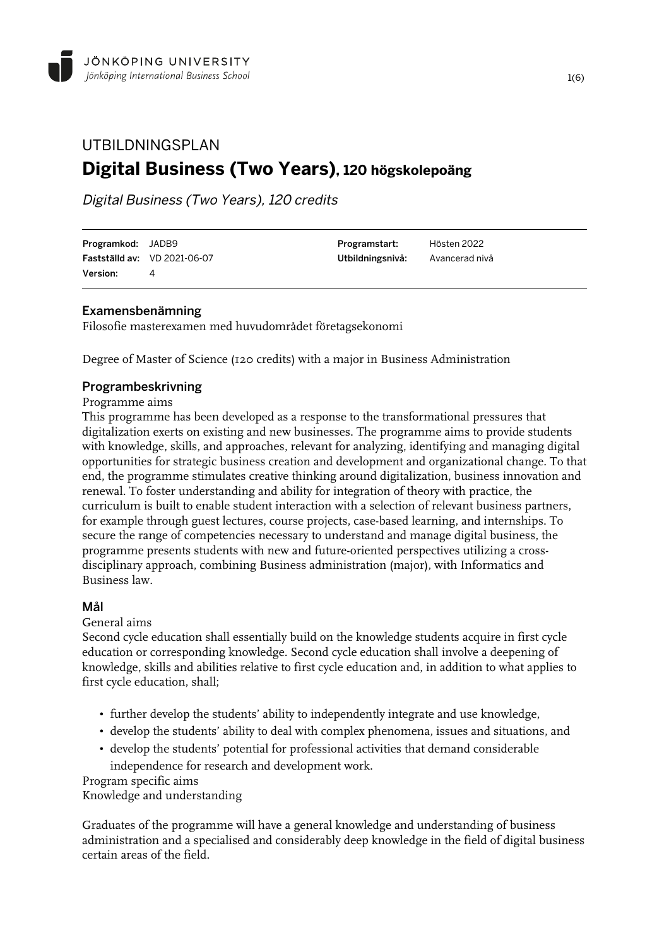## UTBILDNINGSPLAN **Digital Business (Two Years), 120 högskolepoäng**

Digital Business (Two Years), 120 credits

| <b>Programkod:</b> JADB9 |                                     | Programstart:                   | Hösten 2022 |
|--------------------------|-------------------------------------|---------------------------------|-------------|
|                          | <b>Fastställd av:</b> VD 2021-06-07 | Utbildningsnivå: Avancerad nivå |             |
| <b>Version:</b>          |                                     |                                 |             |

## Examensbenämning

Filosofie masterexamen med huvudområdet företagsekonomi

Degree of Master of Science (120 credits) with a major in Business Administration

## Programbeskrivning

## Programme aims

This programme has been developed as a response to the transformational pressures that digitalization exerts on existing and new businesses. The programme aims to provide students with knowledge, skills, and approaches, relevant for analyzing, identifying and managing digital opportunities for strategic business creation and development and organizational change. To that end, the programme stimulates creative thinking around digitalization, business innovation and renewal. To foster understanding and ability for integration of theory with practice, the curriculum is built to enable student interaction with a selection of relevant business partners, for example through guest lectures, course projects, case-based learning, and internships. To secure the range of competencies necessary to understand and manage digital business, the programme presents students with new and future-oriented perspectives utilizing a crossdisciplinary approach, combining Business administration (major), with Informatics and Business law.

## Mål

## General aims

Second cycle education shall essentially build on the knowledge students acquire in first cycle education or corresponding knowledge. Second cycle education shall involve a deepening of knowledge, skills and abilities relative to first cycle education and, in addition to what applies to first cycle education, shall;

- further develop the students' ability to independently integrate and use knowledge,
- develop the students' ability to deal with complex phenomena, issues and situations, and
- develop the students' potential for professional activities that demand considerable independence for research and development work.

Program specific aims

Knowledge and understanding

Graduates of the programme will have a general knowledge and understanding of business administration and a specialised and considerably deep knowledge in the field of digital business certain areas of the field.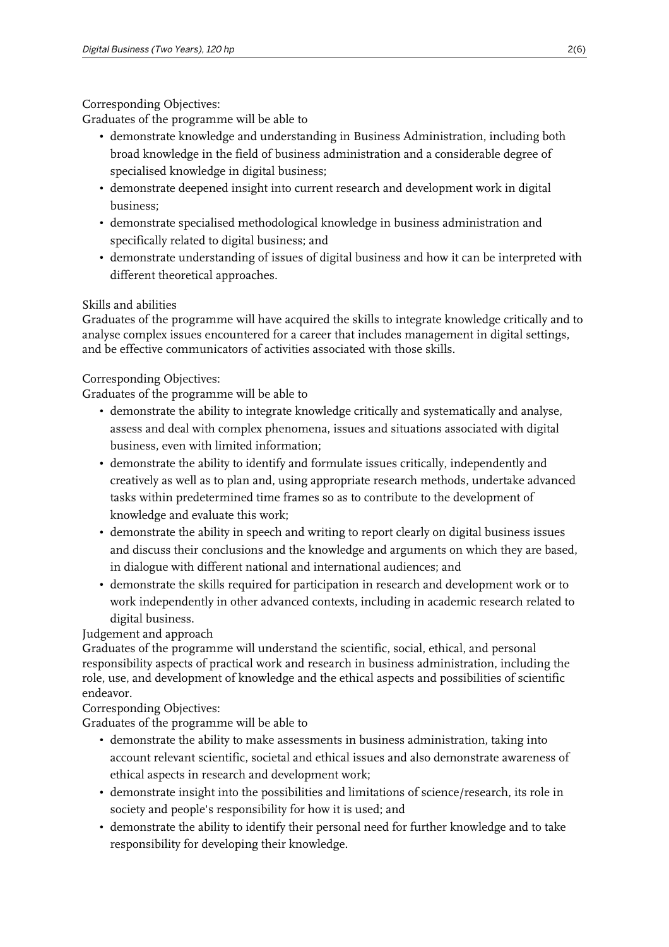## Corresponding Objectives:

Graduates of the programme will be able to

- demonstrate knowledge and understanding in Business Administration, including both broad knowledge in the field of business administration and a considerable degree of specialised knowledge in digital business;
- demonstrate deepened insight into current research and development work in digital business;
- demonstrate specialised methodological knowledge in business administration and specifically related to digital business; and
- demonstrate understanding of issues of digital business and how it can be interpreted with different theoretical approaches.

## Skills and abilities

Graduates of the programme will have acquired the skills to integrate knowledge critically and to analyse complex issues encountered for a career that includes management in digital settings, and be effective communicators of activities associated with those skills.

## Corresponding Objectives:

Graduates of the programme will be able to

- demonstrate the ability to integrate knowledge critically and systematically and analyse, assess and deal with complex phenomena, issues and situations associated with digital business, even with limited information;
- demonstrate the ability to identify and formulate issues critically, independently and creatively as well as to plan and, using appropriate research methods, undertake advanced tasks within predetermined time frames so as to contribute to the development of knowledge and evaluate this work;
- demonstrate the ability in speech and writing to report clearly on digital business issues and discuss their conclusions and the knowledge and arguments on which they are based, in dialogue with different national and international audiences; and
- demonstrate the skills required for participation in research and development work or to work independently in other advanced contexts, including in academic research related to digital business.

Judgement and approach

Graduates of the programme will understand the scientific, social, ethical, and personal responsibility aspects of practical work and research in business administration, including the role, use, and development of knowledge and the ethical aspects and possibilities of scientific endeavor.

Corresponding Objectives:

Graduates of the programme will be able to

- demonstrate the ability to make assessments in business administration, taking into account relevant scientific, societal and ethical issues and also demonstrate awareness of ethical aspects in research and development work;
- demonstrate insight into the possibilities and limitations of science/research, its role in society and people's responsibility for how it is used; and
- demonstrate the ability to identify their personal need for further knowledge and to take responsibility for developing their knowledge.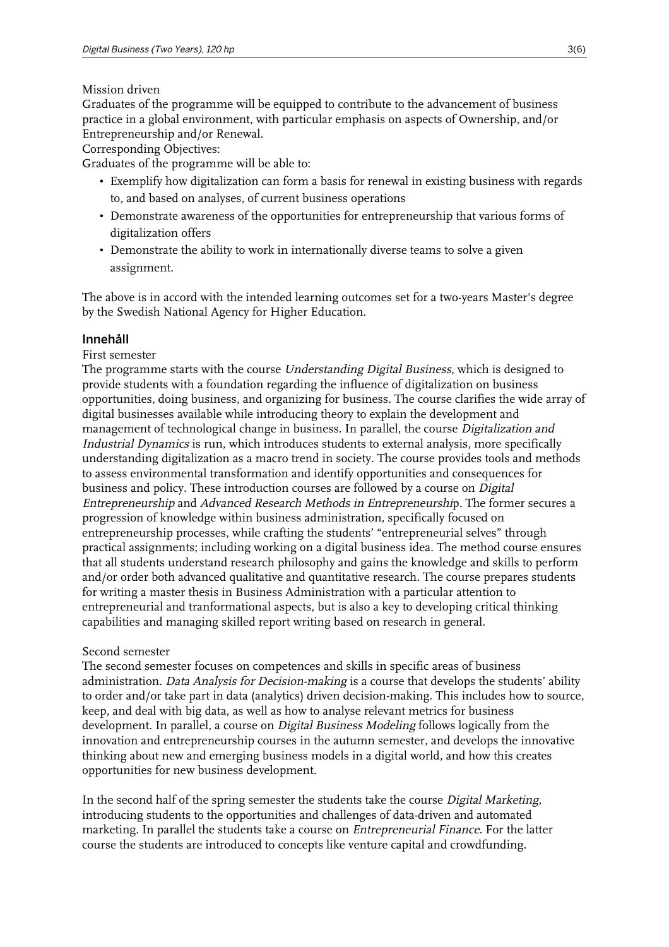## Mission driven

Graduates of the programme will be equipped to contribute to the advancement of business practice in a global environment, with particular emphasis on aspects of Ownership, and/or Entrepreneurship and/or Renewal.

Corresponding Objectives:

Graduates of the programme will be able to:

- Exemplify how digitalization can form a basis for renewal in existing business with regards to, and based on analyses, of current business operations
- Demonstrate awareness of the opportunities for entrepreneurship that various forms of digitalization offers
- Demonstrate the ability to work in internationally diverse teams to solve a given assignment.

The above is in accord with the intended learning outcomes set for a two-years Master's degree by the Swedish National Agency for Higher Education.

## Innehåll

## First semester

The programme starts with the course Understanding Digital Business, which is designed to provide students with a foundation regarding the influence of digitalization on business opportunities, doing business, and organizing for business. The course clarifies the wide array of digital businesses available while introducing theory to explain the development and management of technological change in business. In parallel, the course *Digitalization and* Industrial Dynamics is run, which introduces students to external analysis, more specifically understanding digitalization as a macro trend in society. The course provides tools and methods to assess environmental transformation and identify opportunities and consequences for business and policy. These introduction courses are followed by a course on Digital Entrepreneurship and Advanced Research Methods in Entrepreneurship. The former secures a progression of knowledge within business administration, specifically focused on entrepreneurship processes, while crafting the students' "entrepreneurial selves" through practical assignments; including working on a digital business idea. The method course ensures that all students understand research philosophy and gains the knowledge and skills to perform and/or order both advanced qualitative and quantitative research. The course prepares students for writing a master thesis in Business Administration with a particular attention to entrepreneurial and tranformational aspects, but is also a key to developing critical thinking capabilities and managing skilled report writing based on research in general.

## Second semester

The second semester focuses on competences and skills in specific areas of business administration. Data Analysis for Decision-making is a course that develops the students' ability to order and/or take part in data (analytics) driven decision-making. This includes how to source, keep, and deal with big data, as well as how to analyse relevant metrics for business development. In parallel, a course on *Digital Business Modeling* follows logically from the innovation and entrepreneurship courses in the autumn semester, and develops the innovative thinking about new and emerging business models in a digital world, and how this creates opportunities for new business development.

In the second half of the spring semester the students take the course Digital Marketing, introducing students to the opportunities and challenges of data-driven and automated marketing. In parallel the students take a course on *Entrepreneurial Finance*. For the latter course the students are introduced to concepts like venture capital and crowdfunding.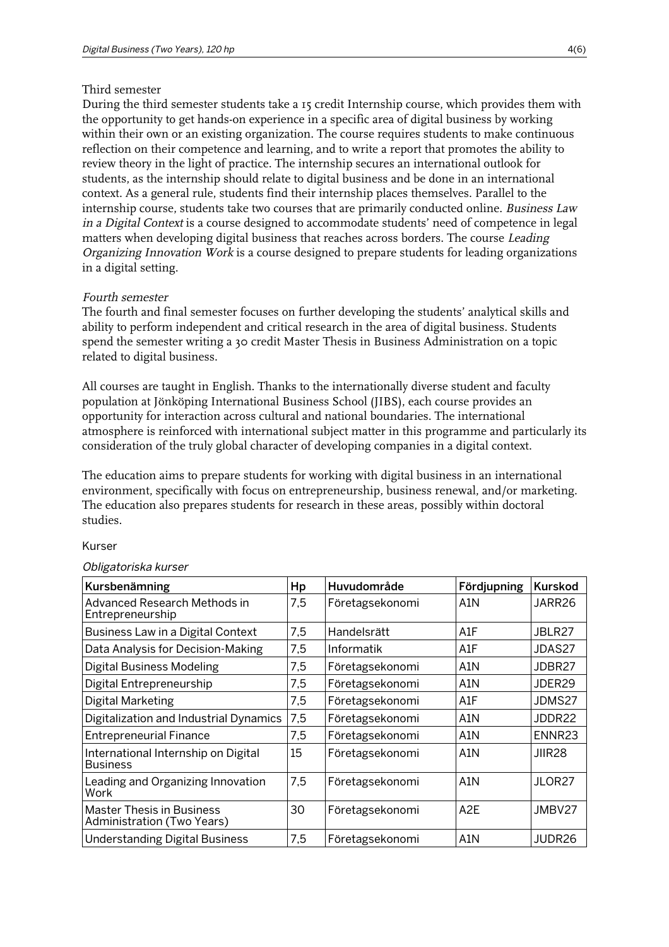#### Third semester

During the third semester students take a 15 credit Internship course, which provides them with the opportunity to get hands-on experience in a specific area of digital business by working within their own or an existing organization. The course requires students to make continuous reflection on their competence and learning, and to write a report that promotes the ability to review theory in the light of practice. The internship secures an international outlook for students, as the internship should relate to digital business and be done in an international context. As a general rule, students find their internship places themselves. Parallel to the internship course, students take two courses that are primarily conducted online. Business Law in a Digital Context is a course designed to accommodate students' need of competence in legal matters when developing digital business that reaches across borders. The course Leading Organizing Innovation Work is a course designed to prepare students for leading organizations in a digital setting.

#### Fourth semester

The fourth and final semester focuses on further developing the students' analytical skills and ability to perform independent and critical research in the area of digital business. Students spend the semester writing a 30 credit Master Thesis in Business Administration on a topic related to digital business.

All courses are taught in English. Thanks to the internationally diverse student and faculty population at Jönköping International Business School (JIBS), each course provides an opportunity for interaction across cultural and national boundaries. The international atmosphere is reinforced with international subject matter in this programme and particularly its consideration of the truly global character of developing companies in a digital context.

The education aims to prepare students for working with digital business in an international environment, specifically with focus on entrepreneurship, business renewal, and/or marketing. The education also prepares students for research in these areas, possibly within doctoral studies.

#### Kurser

| Kursbenämning                                                  |     | Huvudområde     | Fördjupning      | <b>Kurskod</b>     |
|----------------------------------------------------------------|-----|-----------------|------------------|--------------------|
| Advanced Research Methods in<br>7,5<br>Entrepreneurship        |     | Företagsekonomi | A1N              | JARR26             |
| Business Law in a Digital Context                              |     | Handelsrätt     | A1F              | JBLR27             |
| Data Analysis for Decision-Making                              |     | Informatik      | A1F              | JDAS27             |
| <b>Digital Business Modeling</b>                               |     | Företagsekonomi | A1N              | JDBR27             |
| Digital Entrepreneurship<br>7,5                                |     | Företagsekonomi | A1N              | JDER29             |
| Digital Marketing                                              | 7,5 | Företagsekonomi | A1F              | JDMS27             |
| Digitalization and Industrial Dynamics                         |     | Företagsekonomi | A1N              | JDDR22             |
| <b>Entrepreneurial Finance</b>                                 | 7,5 | Företagsekonomi | A1N              | ENNR <sub>23</sub> |
| International Internship on Digital<br>Business                |     | Företagsekonomi | A1N              | JIIR28             |
| Leading and Organizing Innovation<br>Work                      | 7,5 | Företagsekonomi | A1N              | JLOR27             |
| <b>Master Thesis in Business</b><br>Administration (Two Years) |     | Företagsekonomi | A <sub>2</sub> E | JMBV27             |
| <b>Understanding Digital Business</b>                          | 7,5 | Företagsekonomi | A1N              | JUDR26             |

#### Obligatoriska kurser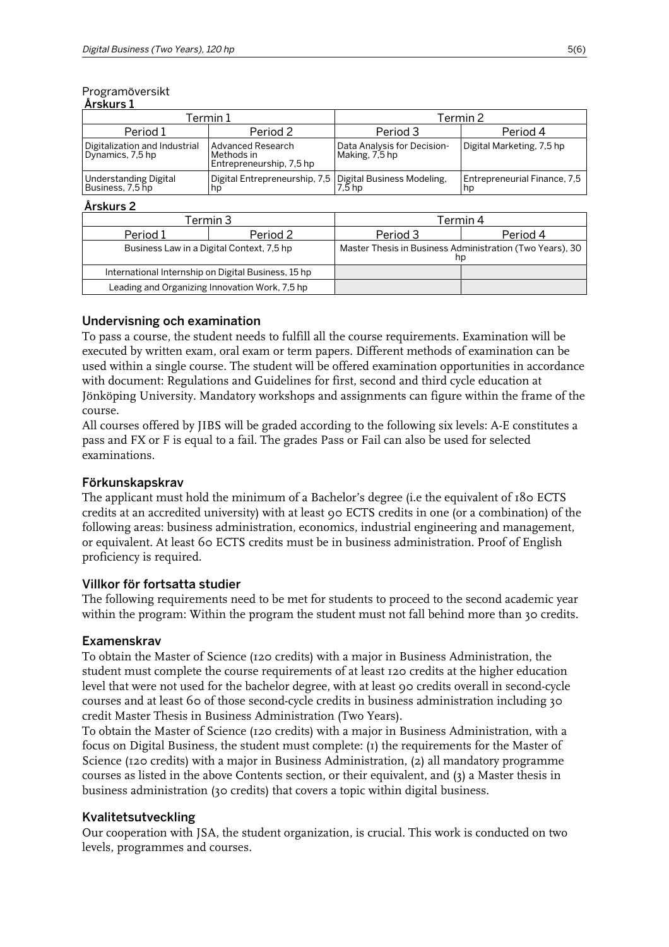#### Programöversikt Årskurs 1

| Termin 1                                          |                                                                  | Termin 2                                      |                                    |  |
|---------------------------------------------------|------------------------------------------------------------------|-----------------------------------------------|------------------------------------|--|
| Period 1                                          | Period 2                                                         | Period 3                                      | Period 4                           |  |
| Digitalization and Industrial<br>Dynamics, 7,5 hp | Advanced Research<br>Methods in<br>Entrepreneurship, 7,5 hp      | Data Analysis for Decision-<br>Making, 7.5 hp | Digital Marketing, 7,5 hp          |  |
| Understanding Digital<br>Business, 7,5 hp         | Digital Entrepreneurship, 7,5 Digital Business Modeling,<br>  hp |                                               | Entrepreneurial Finance, 7,5<br>hp |  |

## Årskurs 2

|                                           | Termin 3                                            | Termin 4                                                       |          |  |
|-------------------------------------------|-----------------------------------------------------|----------------------------------------------------------------|----------|--|
| Period 1                                  | Period 2                                            | Period 3                                                       | Period 4 |  |
| Business Law in a Digital Context, 7,5 hp |                                                     | Master Thesis in Business Administration (Two Years), 30<br>np |          |  |
|                                           | International Internship on Digital Business, 15 hp |                                                                |          |  |
|                                           | Leading and Organizing Innovation Work, 7,5 hp      |                                                                |          |  |

## Undervisning och examination

To pass a course, the student needs to fulfill all the course requirements. Examination will be executed by written exam, oral exam or term papers. Different methods of examination can be used within a single course. The student will be offered examination opportunities in accordance with document: Regulations and Guidelines for first, second and third cycle education at Jönköping University. Mandatory workshops and assignments can figure within the frame of the course.

All courses offered by JIBS will be graded according to the following six levels: A-E constitutes a pass and FX or F is equal to a fail. The grades Pass or Fail can also be used for selected examinations.

## Förkunskapskrav

The applicant must hold the minimum of a Bachelor's degree (i.e the equivalent of 180 ECTS credits at an accredited university) with at least 90 ECTS credits in one (or a combination) of the following areas: business administration, economics, industrial engineering and management, or equivalent. At least 60 ECTS credits must be in business administration. Proof of English proficiency is required.

## Villkor för fortsatta studier

The following requirements need to be met for students to proceed to the second academic year within the program: Within the program the student must not fall behind more than 30 credits.

## Examenskrav

To obtain the Master of Science (120 credits) with a major in Business Administration, the student must complete the course requirements of at least 120 credits at the higher education level that were not used for the bachelor degree, with at least 90 credits overall in second-cycle courses and at least 60 of those second-cycle credits in business administration including 30 credit Master Thesis in Business Administration (Two Years).

To obtain the Master of Science (120 credits) with a major in Business Administration, with a focus on Digital Business, the student must complete: (1) the requirements for the Master of Science (120 credits) with a major in Business Administration, (2) all mandatory programme courses as listed in the above Contents section, or their equivalent, and (3) a Master thesis in business administration (30 credits) that covers a topic within digital business.

## Kvalitetsutveckling

Our cooperation with JSA, the student organization, is crucial. This work is conducted on two levels, programmes and courses.